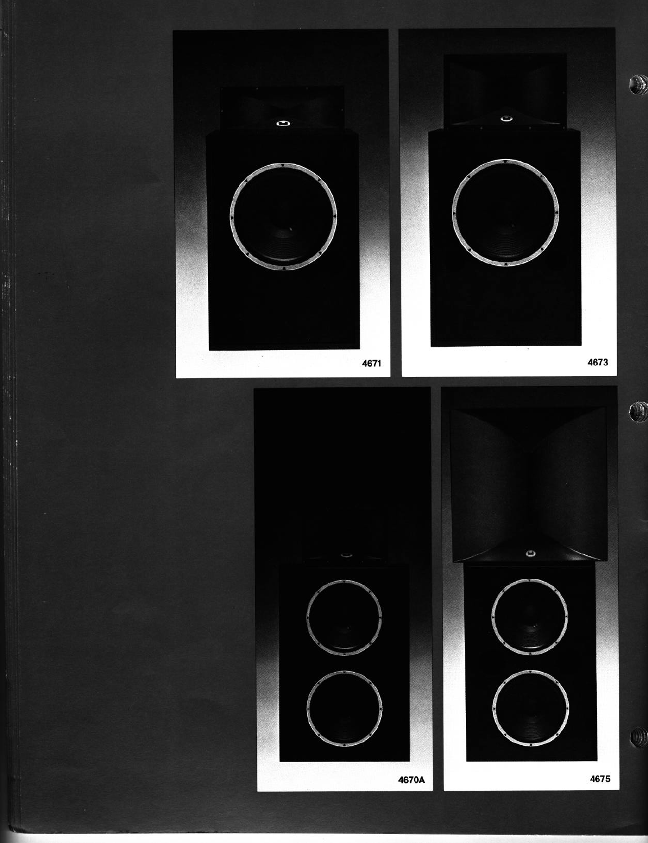